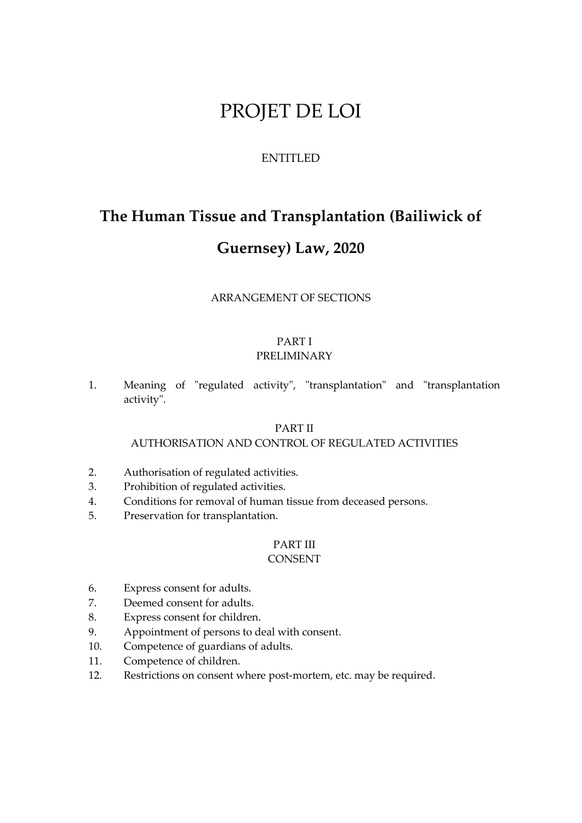# PROJET DE LOI

# ENTITLED

# **The Human Tissue and Transplantation (Bailiwick of**

# **Guernsey) Law, 2020**

# ARRANGEMENT OF SECTIONS

#### PART I PRELIMINARY

1. Meaning of "regulated activity", "transplantation" and "transplantation activity".

# PART II

# AUTHORISATION AND CONTROL OF REGULATED ACTIVITIES

- 2. Authorisation of regulated activities.
- 3. Prohibition of regulated activities.
- 4. Conditions for removal of human tissue from deceased persons.
- 5. Preservation for transplantation.

# PART III

# CONSENT

- 6. Express consent for adults.
- 7. Deemed consent for adults.
- 8. Express consent for children.
- 9. Appointment of persons to deal with consent.
- 10. Competence of guardians of adults.
- 11. Competence of children.
- 12. Restrictions on consent where post-mortem, etc. may be required.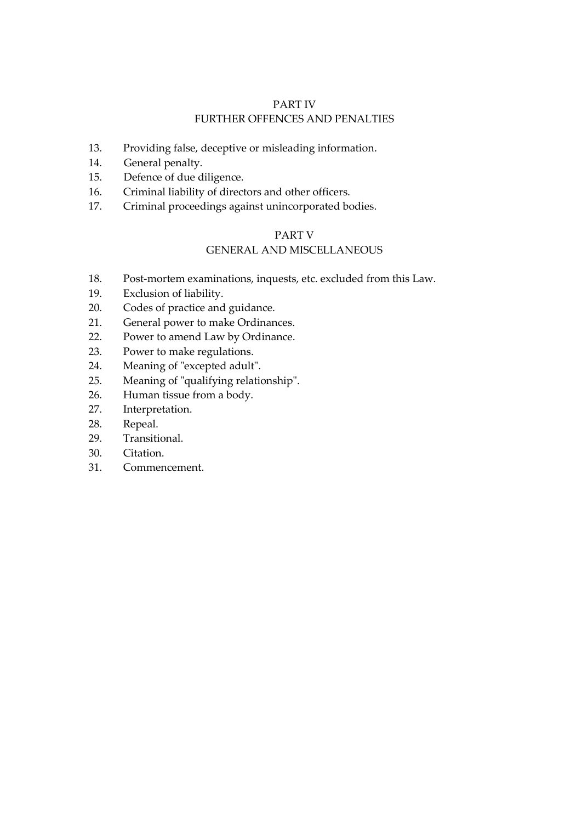# PART IV FURTHER OFFENCES AND PENALTIES

- 13. Providing false, deceptive or misleading information.
- 14. General penalty.
- 15. Defence of due diligence.
- 16. Criminal liability of directors and other officers.
- 17. Criminal proceedings against unincorporated bodies.

# PART V

# GENERAL AND MISCELLANEOUS

- 18. Post-mortem examinations, inquests, etc. excluded from this Law.
- 19. Exclusion of liability.
- 20. Codes of practice and guidance.
- 21. General power to make Ordinances.
- 22. Power to amend Law by Ordinance.
- 23. Power to make regulations.
- 24. Meaning of "excepted adult".
- 25. Meaning of "qualifying relationship".
- 26. Human tissue from a body.
- 27. Interpretation.
- 28. Repeal.
- 29. Transitional.
- 30. Citation.
- 31. Commencement.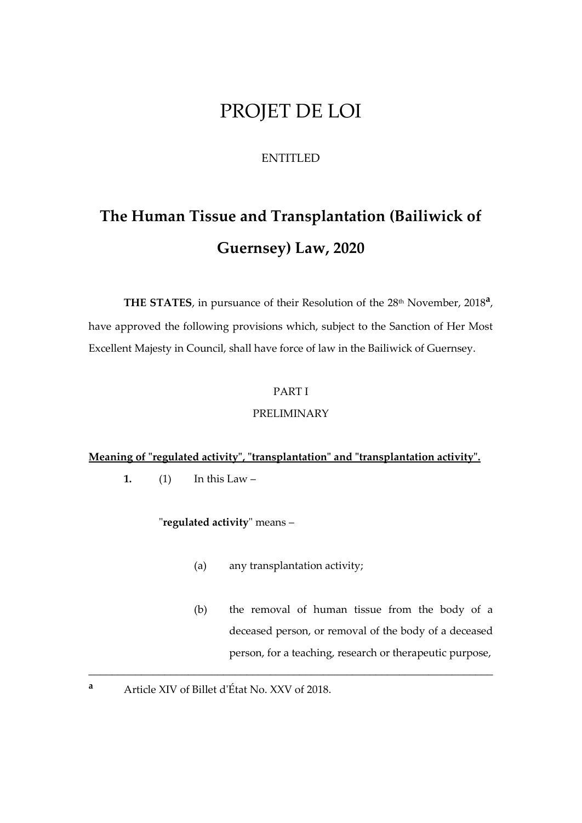# PROJET DE LOI

# ENTITLED

# **The Human Tissue and Transplantation (Bailiwick of Guernsey) Law, 2020**

THE STATES, in pursuance of their Resolution of the 28<sup>th</sup> November, 2018<sup>a</sup>, have approved the following provisions which, subject to the Sanction of Her Most Excellent Majesty in Council, shall have force of law in the Bailiwick of Guernsey.

# PART I

#### PRELIMINARY

# **Meaning of "regulated activity", "transplantation" and "transplantation activity".**

1.  $(1)$  In this Law –

"**regulated activity**" means –

(a) any transplantation activity;

- (b) the removal of human tissue from the body of a deceased person, or removal of the body of a deceased person, for a teaching, research or therapeutic purpose,
- **<sup>a</sup>** Article XIV of Billet d'État No. XXV of 2018.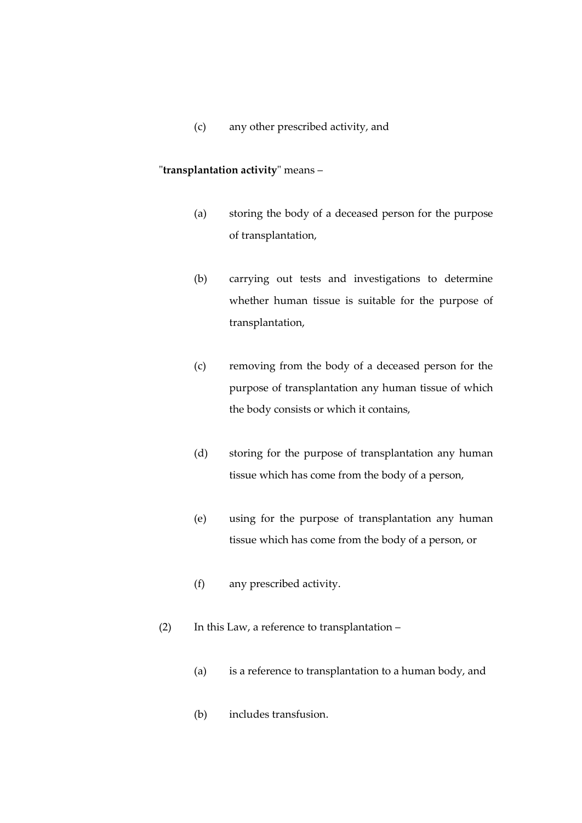(c) any other prescribed activity, and

#### "**transplantation activity**" means –

- (a) storing the body of a deceased person for the purpose of transplantation,
- (b) carrying out tests and investigations to determine whether human tissue is suitable for the purpose of transplantation,
- (c) removing from the body of a deceased person for the purpose of transplantation any human tissue of which the body consists or which it contains,
- (d) storing for the purpose of transplantation any human tissue which has come from the body of a person,
- (e) using for the purpose of transplantation any human tissue which has come from the body of a person, or
- (f) any prescribed activity.
- (2) In this Law, a reference to transplantation
	- (a) is a reference to transplantation to a human body, and
	- (b) includes transfusion.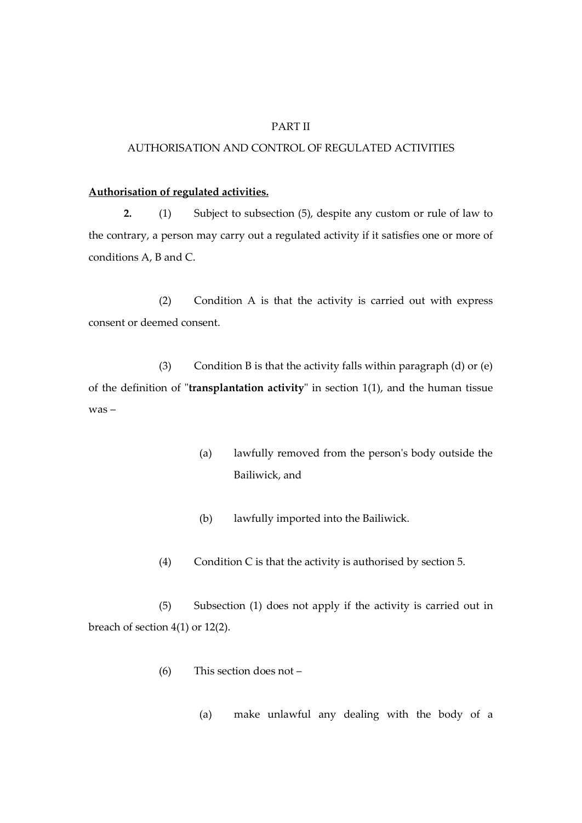#### PART II

#### AUTHORISATION AND CONTROL OF REGULATED ACTIVITIES

#### **Authorisation of regulated activities.**

**2.** (1) Subject to subsection (5), despite any custom or rule of law to the contrary, a person may carry out a regulated activity if it satisfies one or more of conditions A, B and C.

(2) Condition A is that the activity is carried out with express consent or deemed consent.

(3) Condition B is that the activity falls within paragraph (d) or  $(e)$ of the definition of "**transplantation activity**" in section 1(1), and the human tissue was –

- (a) lawfully removed from the person's body outside the Bailiwick, and
- (b) lawfully imported into the Bailiwick.
- (4) Condition C is that the activity is authorised by section 5.

(5) Subsection (1) does not apply if the activity is carried out in breach of section 4(1) or 12(2).

- (6) This section does not
	- (a) make unlawful any dealing with the body of a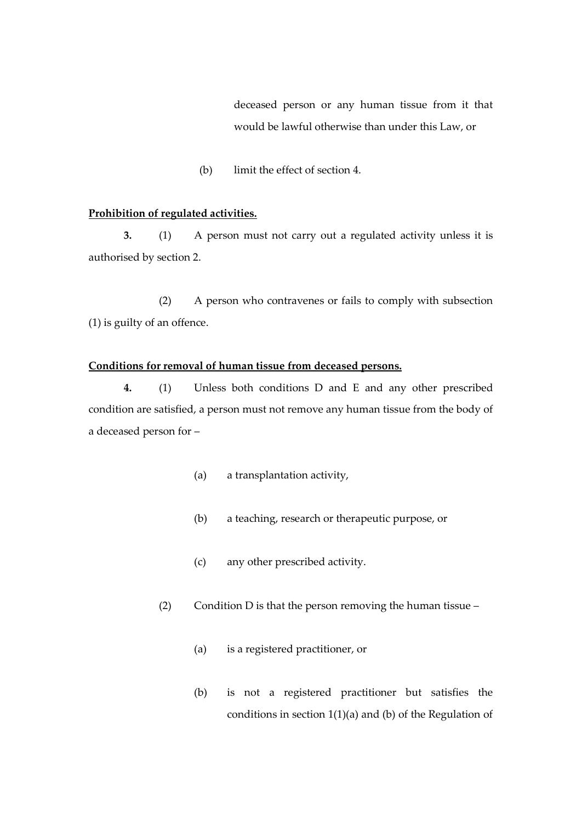deceased person or any human tissue from it that would be lawful otherwise than under this Law, or

(b) limit the effect of section 4.

#### **Prohibition of regulated activities.**

**3.** (1) A person must not carry out a regulated activity unless it is authorised by section 2.

(2) A person who contravenes or fails to comply with subsection (1) is guilty of an offence.

#### **Conditions for removal of human tissue from deceased persons.**

**4.** (1) Unless both conditions D and E and any other prescribed condition are satisfied, a person must not remove any human tissue from the body of a deceased person for –

- (a) a transplantation activity,
- (b) a teaching, research or therapeutic purpose, or
- (c) any other prescribed activity.
- (2) Condition D is that the person removing the human tissue
	- (a) is a registered practitioner, or
	- (b) is not a registered practitioner but satisfies the conditions in section  $1(1)(a)$  and  $(b)$  of the Regulation of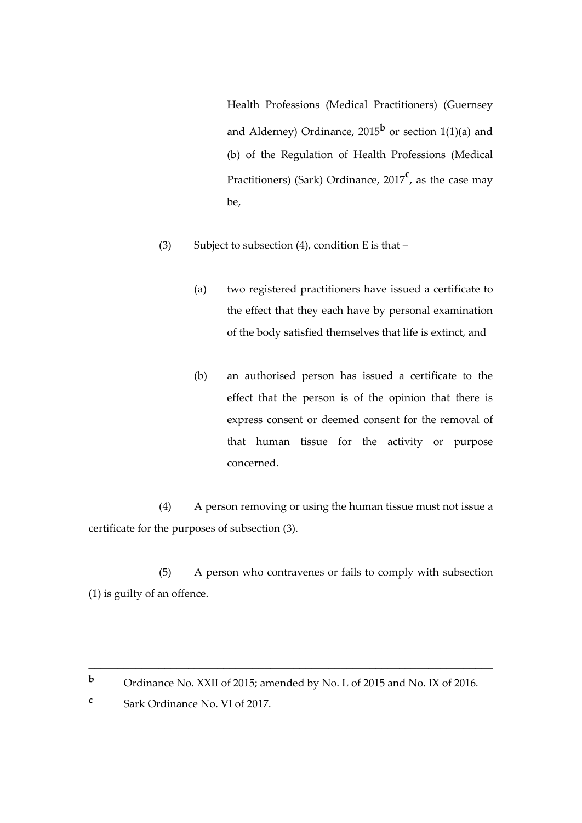Health Professions (Medical Practitioners) (Guernsey and Alderney) Ordinance, 2015**<sup>b</sup>** or section 1(1)(a) and (b) of the Regulation of Health Professions (Medical Practitioners) (Sark) Ordinance, 2017<sup>c</sup>, as the case may be,

- (3) Subject to subsection (4), condition E is that  $-$ 
	- (a) two registered practitioners have issued a certificate to the effect that they each have by personal examination of the body satisfied themselves that life is extinct, and
	- (b) an authorised person has issued a certificate to the effect that the person is of the opinion that there is express consent or deemed consent for the removal of that human tissue for the activity or purpose concerned.

(4) A person removing or using the human tissue must not issue a certificate for the purposes of subsection (3).

(5) A person who contravenes or fails to comply with subsection (1) is guilty of an offence.

**<sup>b</sup>** Ordinance No. XXII of 2015; amended by No. L of 2015 and No. IX of 2016.

**c** Sark Ordinance No. VI of 2017.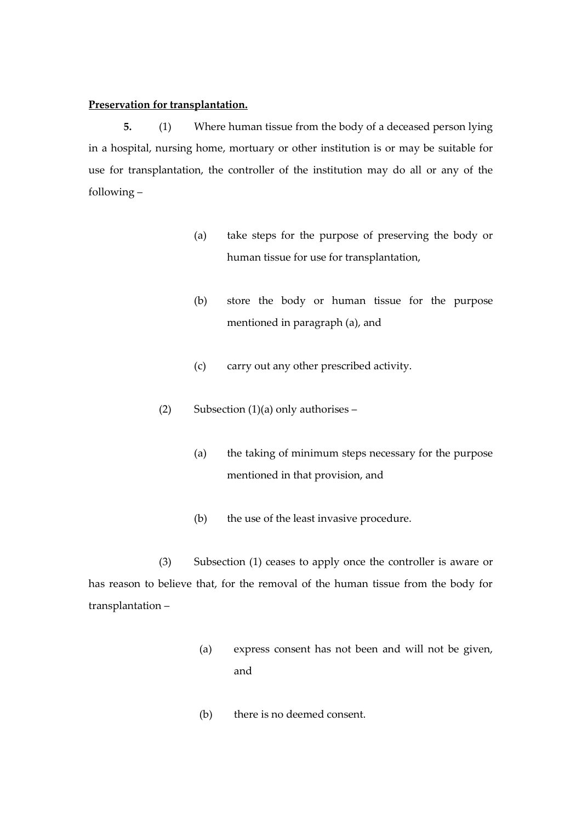#### **Preservation for transplantation.**

**5.** (1) Where human tissue from the body of a deceased person lying in a hospital, nursing home, mortuary or other institution is or may be suitable for use for transplantation, the controller of the institution may do all or any of the following –

- (a) take steps for the purpose of preserving the body or human tissue for use for transplantation,
- (b) store the body or human tissue for the purpose mentioned in paragraph (a), and
- (c) carry out any other prescribed activity.
- (2) Subsection  $(1)(a)$  only authorises
	- (a) the taking of minimum steps necessary for the purpose mentioned in that provision, and
	- (b) the use of the least invasive procedure.

(3) Subsection (1) ceases to apply once the controller is aware or has reason to believe that, for the removal of the human tissue from the body for transplantation –

- (a) express consent has not been and will not be given, and
- (b) there is no deemed consent.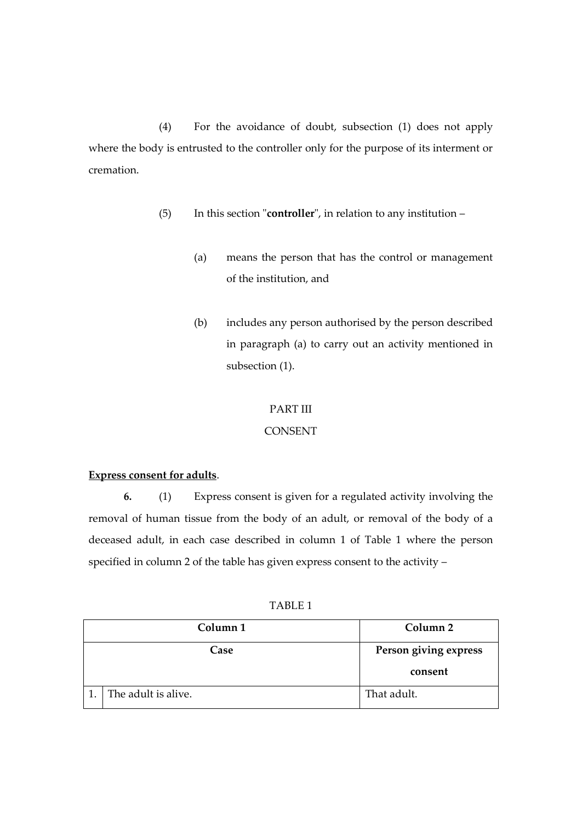(4) For the avoidance of doubt, subsection (1) does not apply where the body is entrusted to the controller only for the purpose of its interment or cremation.

- (5) In this section "**controller**", in relation to any institution
	- (a) means the person that has the control or management of the institution, and
	- (b) includes any person authorised by the person described in paragraph (a) to carry out an activity mentioned in subsection (1).

#### PART III

# **CONSENT**

#### **Express consent for adults**.

**6.** (1) Express consent is given for a regulated activity involving the removal of human tissue from the body of an adult, or removal of the body of a deceased adult, in each case described in column 1 of Table 1 where the person specified in column 2 of the table has given express consent to the activity –

TABLE 1

| Column <sub>1</sub> | Column 2              |
|---------------------|-----------------------|
| Case                | Person giving express |
|                     | consent               |
| The adult is alive. | That adult.           |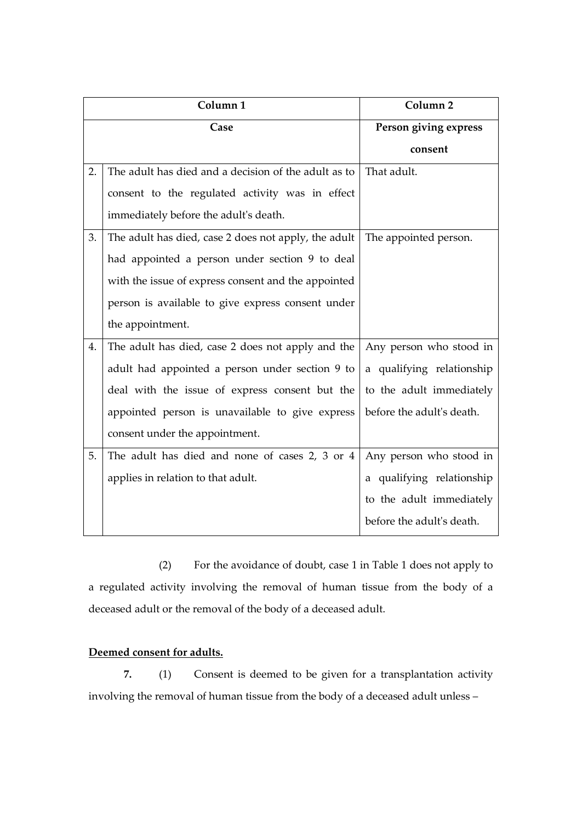| Column <sub>1</sub> |                                                      | Column <sub>2</sub>       |
|---------------------|------------------------------------------------------|---------------------------|
| Case                |                                                      | Person giving express     |
|                     |                                                      | consent                   |
| 2.                  | The adult has died and a decision of the adult as to | That adult.               |
|                     | consent to the regulated activity was in effect      |                           |
|                     | immediately before the adult's death.                |                           |
| 3.                  | The adult has died, case 2 does not apply, the adult | The appointed person.     |
|                     | had appointed a person under section 9 to deal       |                           |
|                     | with the issue of express consent and the appointed  |                           |
|                     | person is available to give express consent under    |                           |
|                     | the appointment.                                     |                           |
| 4.                  | The adult has died, case 2 does not apply and the    | Any person who stood in   |
|                     | adult had appointed a person under section 9 to      | a qualifying relationship |
|                     | deal with the issue of express consent but the       | to the adult immediately  |
|                     | appointed person is unavailable to give express      | before the adult's death. |
|                     | consent under the appointment.                       |                           |
| 5.                  | The adult has died and none of cases 2, 3 or 4       | Any person who stood in   |
|                     | applies in relation to that adult.                   | a qualifying relationship |
|                     |                                                      | to the adult immediately  |
|                     |                                                      | before the adult's death. |

(2) For the avoidance of doubt, case 1 in Table 1 does not apply to a regulated activity involving the removal of human tissue from the body of a deceased adult or the removal of the body of a deceased adult.

# **Deemed consent for adults.**

**7.** (1) Consent is deemed to be given for a transplantation activity involving the removal of human tissue from the body of a deceased adult unless –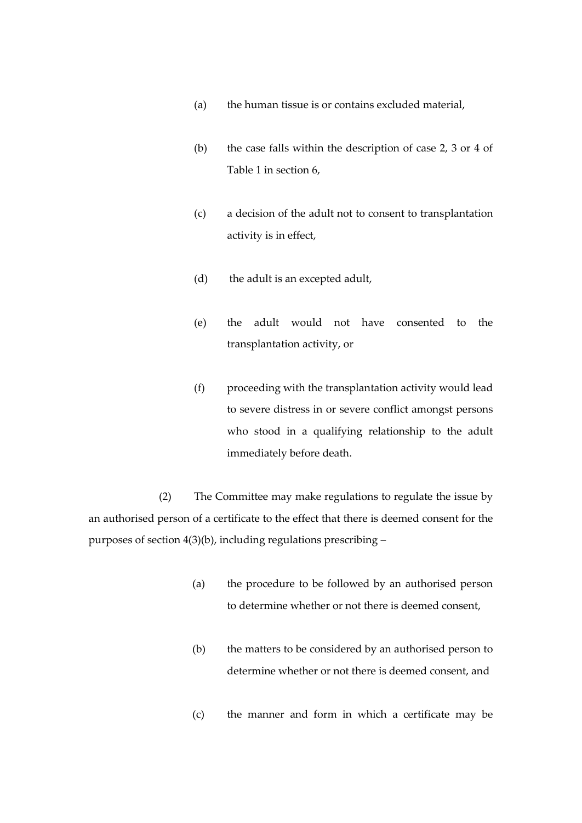- (a) the human tissue is or contains excluded material,
- (b) the case falls within the description of case 2, 3 or 4 of Table 1 in section 6,
- (c) a decision of the adult not to consent to transplantation activity is in effect,
- (d) the adult is an excepted adult,
- (e) the adult would not have consented to the transplantation activity, or
- (f) proceeding with the transplantation activity would lead to severe distress in or severe conflict amongst persons who stood in a qualifying relationship to the adult immediately before death.

(2) The Committee may make regulations to regulate the issue by an authorised person of a certificate to the effect that there is deemed consent for the purposes of section 4(3)(b), including regulations prescribing –

- (a) the procedure to be followed by an authorised person to determine whether or not there is deemed consent,
- (b) the matters to be considered by an authorised person to determine whether or not there is deemed consent, and
- (c) the manner and form in which a certificate may be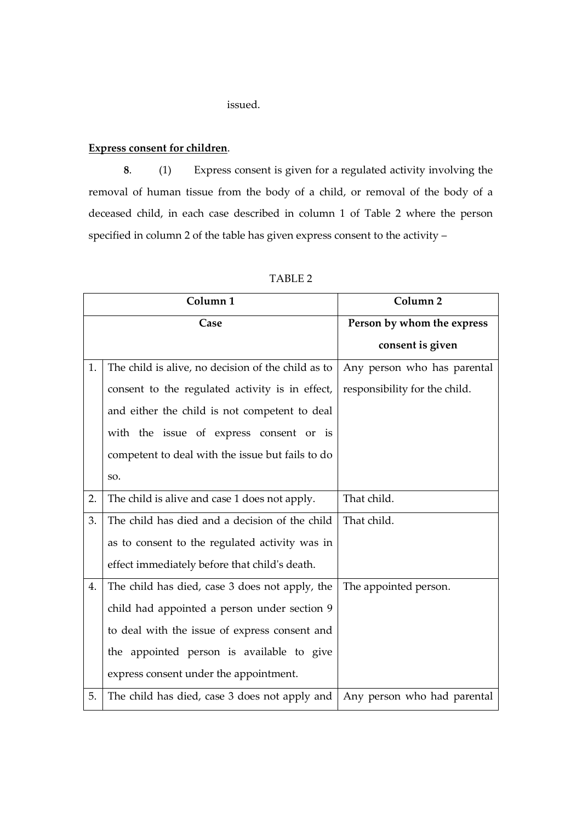#### issued.

#### **Express consent for children**.

**8**. (1) Express consent is given for a regulated activity involving the removal of human tissue from the body of a child, or removal of the body of a deceased child, in each case described in column 1 of Table 2 where the person specified in column 2 of the table has given express consent to the activity –

| Column <sub>1</sub> |                                                    | Column <sub>2</sub>           |
|---------------------|----------------------------------------------------|-------------------------------|
|                     | Case                                               | Person by whom the express    |
|                     |                                                    | consent is given              |
| 1.                  | The child is alive, no decision of the child as to | Any person who has parental   |
|                     | consent to the regulated activity is in effect,    | responsibility for the child. |
|                     | and either the child is not competent to deal      |                               |
|                     | with the issue of express consent or is            |                               |
|                     | competent to deal with the issue but fails to do   |                               |
|                     | SO.                                                |                               |
| 2.                  | The child is alive and case 1 does not apply.      | That child.                   |
| 3.                  | The child has died and a decision of the child     | That child.                   |
|                     | as to consent to the regulated activity was in     |                               |
|                     | effect immediately before that child's death.      |                               |
| 4.                  | The child has died, case 3 does not apply, the     | The appointed person.         |
|                     | child had appointed a person under section 9       |                               |
|                     | to deal with the issue of express consent and      |                               |
|                     | the appointed person is available to give          |                               |
|                     | express consent under the appointment.             |                               |
| 5.                  | The child has died, case 3 does not apply and      | Any person who had parental   |

#### TABLE 2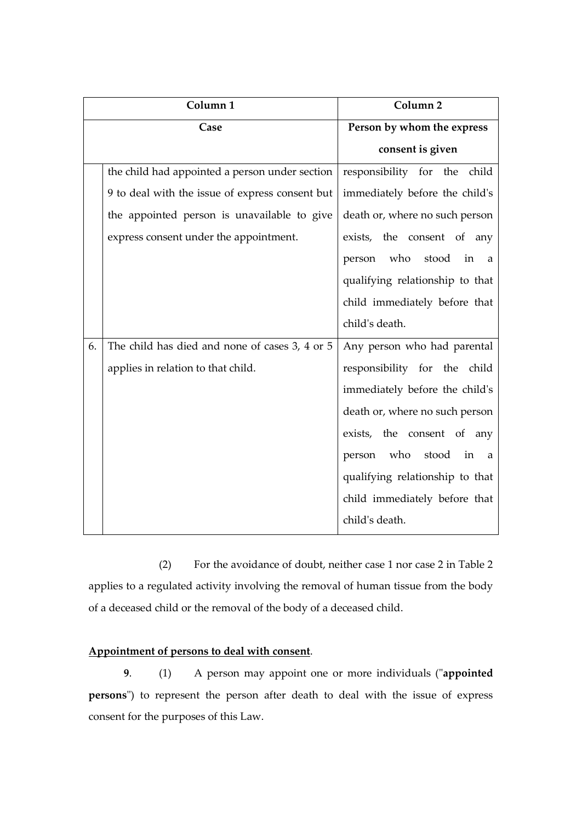| Column <sub>1</sub> |                                                 | Column <sub>2</sub>               |
|---------------------|-------------------------------------------------|-----------------------------------|
| Case                |                                                 | Person by whom the express        |
|                     |                                                 | consent is given                  |
|                     | the child had appointed a person under section  | responsibility for the<br>child   |
|                     | 9 to deal with the issue of express consent but | immediately before the child's    |
|                     | the appointed person is unavailable to give     | death or, where no such person    |
|                     | express consent under the appointment.          | exists, the consent of any        |
|                     |                                                 | person who<br>stood<br>in<br>a    |
|                     |                                                 | qualifying relationship to that   |
|                     |                                                 | child immediately before that     |
|                     |                                                 | child's death.                    |
| 6.                  | The child has died and none of cases 3, 4 or 5  | Any person who had parental       |
|                     | applies in relation to that child.              | responsibility for the child      |
|                     |                                                 | immediately before the child's    |
|                     |                                                 | death or, where no such person    |
|                     |                                                 | exists, the consent of any        |
|                     |                                                 | who<br>stood<br>person<br>in<br>a |
|                     |                                                 | qualifying relationship to that   |
|                     |                                                 | child immediately before that     |
|                     |                                                 | child's death.                    |

(2) For the avoidance of doubt, neither case 1 nor case 2 in Table 2 applies to a regulated activity involving the removal of human tissue from the body of a deceased child or the removal of the body of a deceased child.

# **Appointment of persons to deal with consent**.

**9**. (1) A person may appoint one or more individuals ("**appointed persons**") to represent the person after death to deal with the issue of express consent for the purposes of this Law.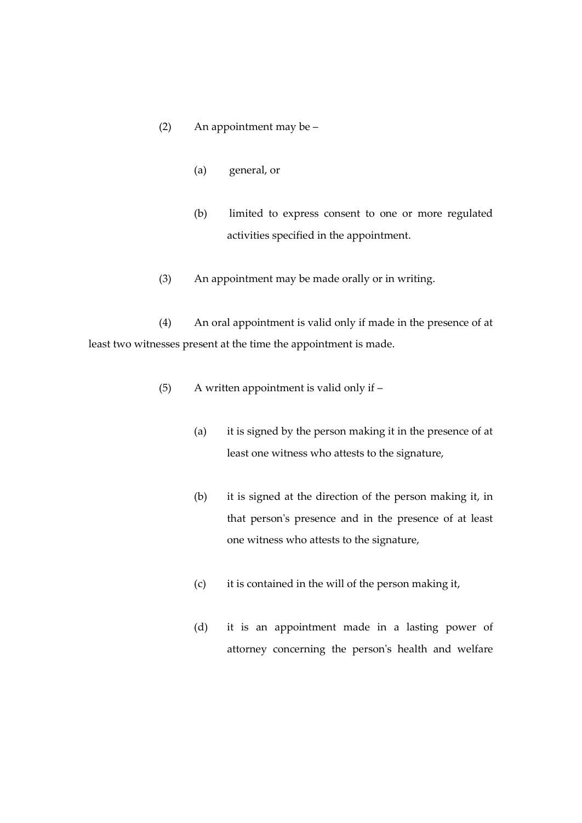# (2) An appointment may be –

- (a) general, or
- (b) limited to express consent to one or more regulated activities specified in the appointment.
- (3) An appointment may be made orally or in writing.

(4) An oral appointment is valid only if made in the presence of at least two witnesses present at the time the appointment is made.

- (5) A written appointment is valid only if
	- (a) it is signed by the person making it in the presence of at least one witness who attests to the signature,
	- (b) it is signed at the direction of the person making it, in that person's presence and in the presence of at least one witness who attests to the signature,
	- (c) it is contained in the will of the person making it,
	- (d) it is an appointment made in a lasting power of attorney concerning the person's health and welfare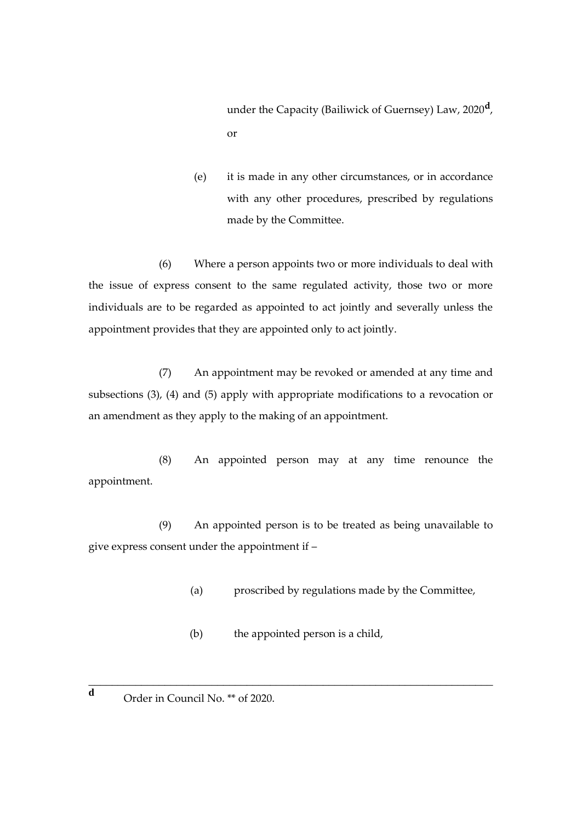under the Capacity (Bailiwick of Guernsey) Law, 2020**<sup>d</sup>** , or

(e) it is made in any other circumstances, or in accordance with any other procedures, prescribed by regulations made by the Committee.

(6) Where a person appoints two or more individuals to deal with the issue of express consent to the same regulated activity, those two or more individuals are to be regarded as appointed to act jointly and severally unless the appointment provides that they are appointed only to act jointly.

(7) An appointment may be revoked or amended at any time and subsections (3), (4) and (5) apply with appropriate modifications to a revocation or an amendment as they apply to the making of an appointment.

(8) An appointed person may at any time renounce the appointment.

(9) An appointed person is to be treated as being unavailable to give express consent under the appointment if –

(a) proscribed by regulations made by the Committee,

(b) the appointed person is a child,

\_\_\_\_\_\_\_\_\_\_\_\_\_\_\_\_\_\_\_\_\_\_\_\_\_\_\_\_\_\_\_\_\_\_\_\_\_\_\_\_\_\_\_\_\_\_\_\_\_\_\_\_\_\_\_\_\_\_\_\_\_\_\_\_\_\_\_\_\_

**d** Order in Council No. \*\* of 2020.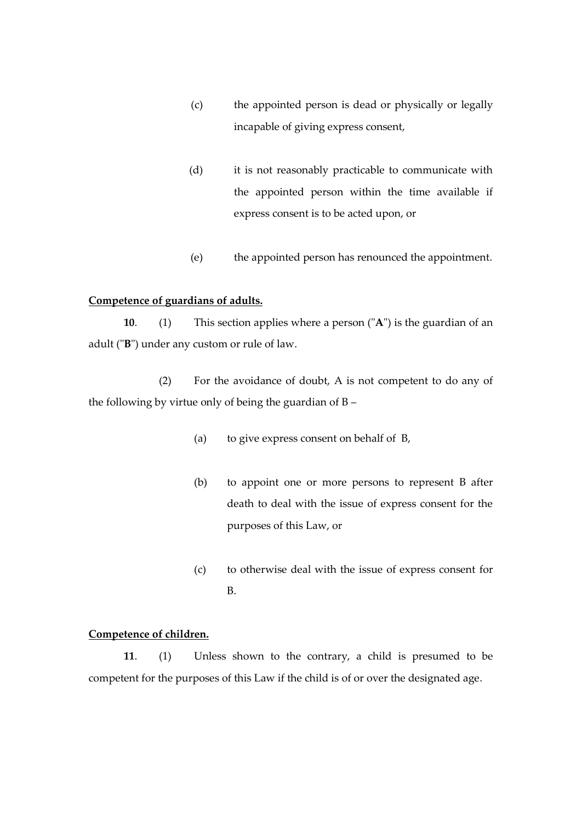- (c) the appointed person is dead or physically or legally incapable of giving express consent,
- (d) it is not reasonably practicable to communicate with the appointed person within the time available if express consent is to be acted upon, or
- (e) the appointed person has renounced the appointment.

# **Competence of guardians of adults.**

**10**. (1) This section applies where a person ("**A**") is the guardian of an adult ("**B**") under any custom or rule of law.

(2) For the avoidance of doubt, A is not competent to do any of the following by virtue only of being the guardian of B –

- (a) to give express consent on behalf of B,
- (b) to appoint one or more persons to represent B after death to deal with the issue of express consent for the purposes of this Law, or
- (c) to otherwise deal with the issue of express consent for B.

#### **Competence of children.**

**11**. (1) Unless shown to the contrary, a child is presumed to be competent for the purposes of this Law if the child is of or over the designated age.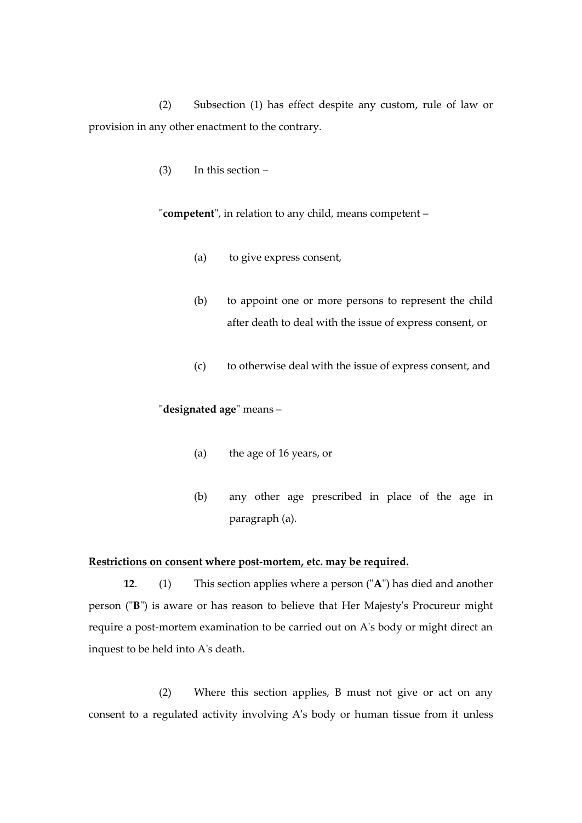(2) Subsection (1) has effect despite any custom, rule of law or provision in any other enactment to the contrary.

(3) In this section –

"**competent**", in relation to any child, means competent –

- (a) to give express consent,
- (b) to appoint one or more persons to represent the child after death to deal with the issue of express consent, or
- (c) to otherwise deal with the issue of express consent, and

#### "**designated age**" means –

- (a) the age of 16 years, or
- (b) any other age prescribed in place of the age in paragraph (a).

#### **Restrictions on consent where post-mortem, etc. may be required.**

**12**. (1) This section applies where a person ("**A**") has died and another person ("**B**") is aware or has reason to believe that Her Majesty's Procureur might require a post-mortem examination to be carried out on A's body or might direct an inquest to be held into A's death.

(2) Where this section applies, B must not give or act on any consent to a regulated activity involving A's body or human tissue from it unless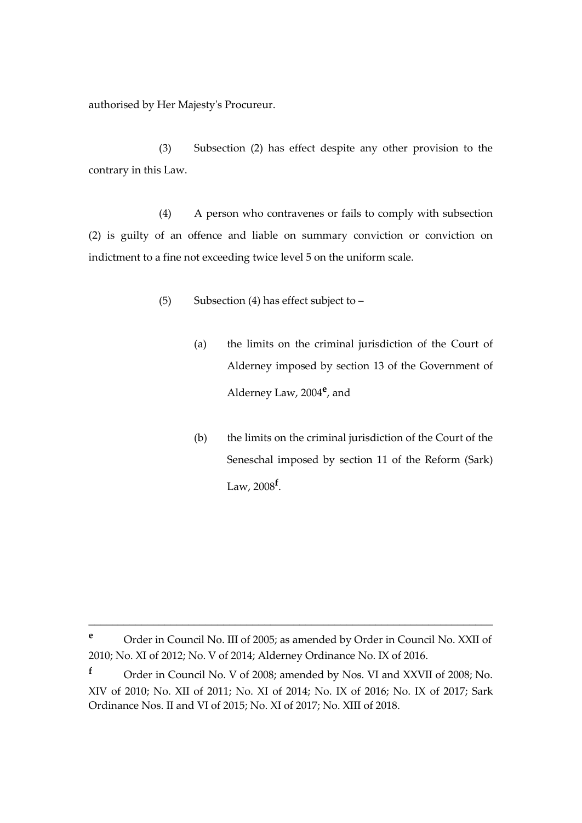authorised by Her Majesty's Procureur.

(3) Subsection (2) has effect despite any other provision to the contrary in this Law.

(4) A person who contravenes or fails to comply with subsection (2) is guilty of an offence and liable on summary conviction or conviction on indictment to a fine not exceeding twice level 5 on the uniform scale.

- (5) Subsection (4) has effect subject to  $-$ 
	- (a) the limits on the criminal jurisdiction of the Court of Alderney imposed by section 13 of the Government of Alderney Law, 2004**<sup>e</sup>** , and
	- (b) the limits on the criminal jurisdiction of the Court of the Seneschal imposed by section 11 of the Reform (Sark) Law, 2008**<sup>f</sup>** .

**<sup>e</sup>** Order in Council No. III of 2005; as amended by Order in Council No. XXII of 2010; No. XI of 2012; No. V of 2014; Alderney Ordinance No. IX of 2016.

**<sup>f</sup>** Order in Council No. V of 2008; amended by Nos. VI and XXVII of 2008; No. XIV of 2010; No. XII of 2011; No. XI of 2014; No. IX of 2016; No. IX of 2017; Sark Ordinance Nos. II and VI of 2015; No. XI of 2017; No. XIII of 2018.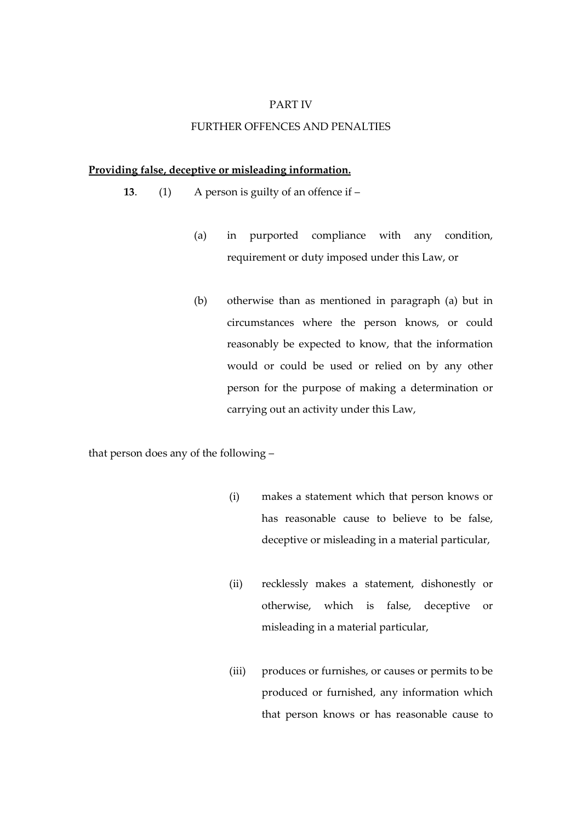#### PART IV

# FURTHER OFFENCES AND PENALTIES

#### **Providing false, deceptive or misleading information.**

- **13**. (1) A person is guilty of an offence if
	- (a) in purported compliance with any condition, requirement or duty imposed under this Law, or
	- (b) otherwise than as mentioned in paragraph (a) but in circumstances where the person knows, or could reasonably be expected to know, that the information would or could be used or relied on by any other person for the purpose of making a determination or carrying out an activity under this Law,

that person does any of the following –

- (i) makes a statement which that person knows or has reasonable cause to believe to be false, deceptive or misleading in a material particular,
- (ii) recklessly makes a statement, dishonestly or otherwise, which is false, deceptive or misleading in a material particular,
- (iii) produces or furnishes, or causes or permits to be produced or furnished, any information which that person knows or has reasonable cause to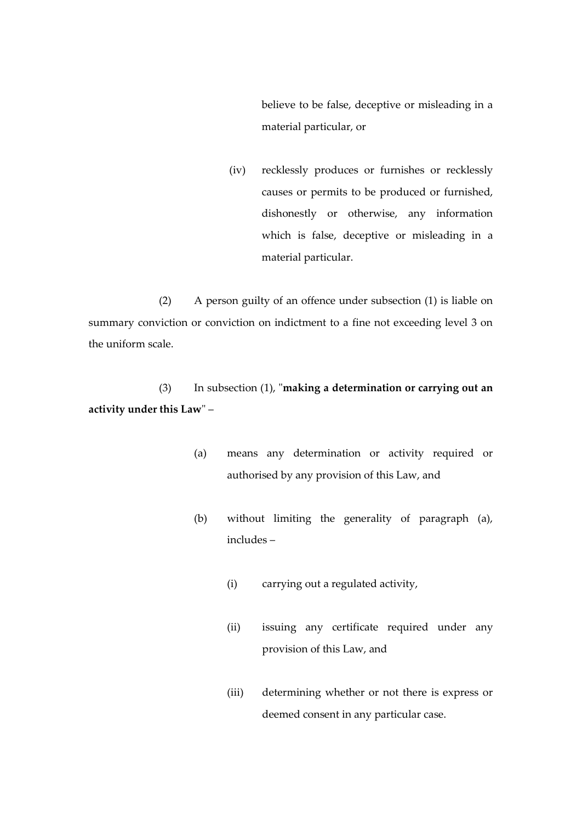believe to be false, deceptive or misleading in a material particular, or

(iv) recklessly produces or furnishes or recklessly causes or permits to be produced or furnished, dishonestly or otherwise, any information which is false, deceptive or misleading in a material particular.

(2) A person guilty of an offence under subsection (1) is liable on summary conviction or conviction on indictment to a fine not exceeding level 3 on the uniform scale.

(3) In subsection (1), "**making a determination or carrying out an activity under this Law**" –

- (a) means any determination or activity required or authorised by any provision of this Law, and
- (b) without limiting the generality of paragraph (a), includes –
	- (i) carrying out a regulated activity,
	- (ii) issuing any certificate required under any provision of this Law, and
	- (iii) determining whether or not there is express or deemed consent in any particular case.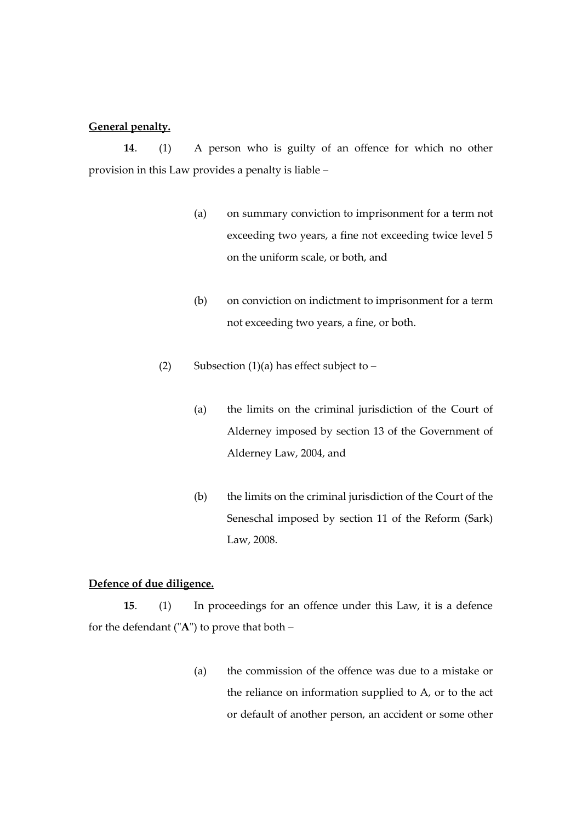#### **General penalty.**

**14**. (1) A person who is guilty of an offence for which no other provision in this Law provides a penalty is liable –

- (a) on summary conviction to imprisonment for a term not exceeding two years, a fine not exceeding twice level 5 on the uniform scale, or both, and
- (b) on conviction on indictment to imprisonment for a term not exceeding two years, a fine, or both.
- (2) Subsection (1)(a) has effect subject to  $-$ 
	- (a) the limits on the criminal jurisdiction of the Court of Alderney imposed by section 13 of the Government of Alderney Law, 2004, and
	- (b) the limits on the criminal jurisdiction of the Court of the Seneschal imposed by section 11 of the Reform (Sark) Law, 2008.

# **Defence of due diligence.**

**15**. (1) In proceedings for an offence under this Law, it is a defence for the defendant ("**A**") to prove that both –

> (a) the commission of the offence was due to a mistake or the reliance on information supplied to A, or to the act or default of another person, an accident or some other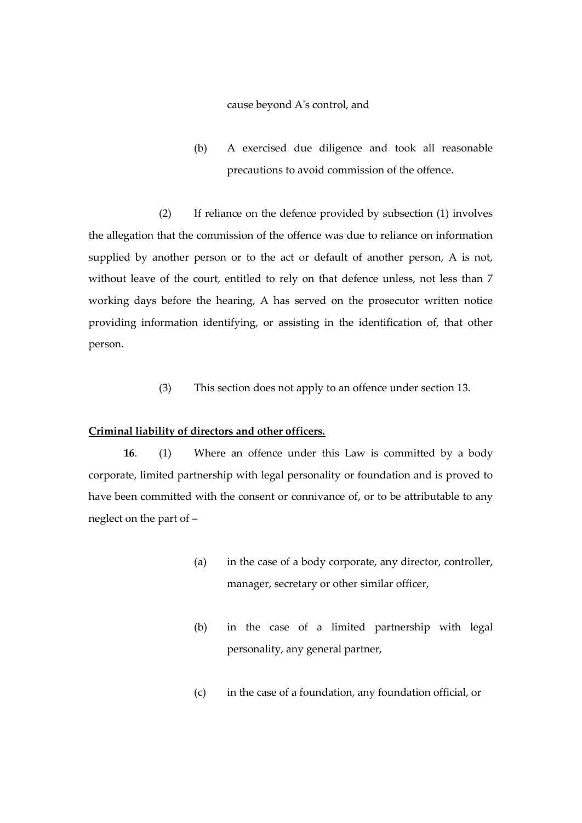#### cause beyond A's control, and

(b) A exercised due diligence and took all reasonable precautions to avoid commission of the offence.

(2) If reliance on the defence provided by subsection (1) involves the allegation that the commission of the offence was due to reliance on information supplied by another person or to the act or default of another person, A is not, without leave of the court, entitled to rely on that defence unless, not less than 7 working days before the hearing, A has served on the prosecutor written notice providing information identifying, or assisting in the identification of, that other person.

(3) This section does not apply to an offence under section 13.

#### **Criminal liability of directors and other officers.**

**16**. (1) Where an offence under this Law is committed by a body corporate, limited partnership with legal personality or foundation and is proved to have been committed with the consent or connivance of, or to be attributable to any neglect on the part of –

- (a) in the case of a body corporate, any director, controller, manager, secretary or other similar officer,
- (b) in the case of a limited partnership with legal personality, any general partner,
- (c) in the case of a foundation, any foundation official, or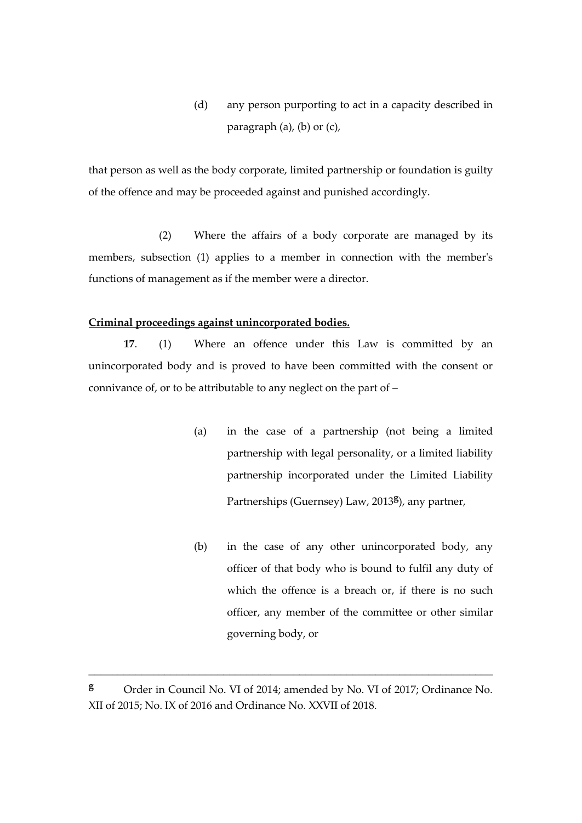(d) any person purporting to act in a capacity described in paragraph (a), (b) or (c),

that person as well as the body corporate, limited partnership or foundation is guilty of the offence and may be proceeded against and punished accordingly.

(2) Where the affairs of a body corporate are managed by its members, subsection (1) applies to a member in connection with the member's functions of management as if the member were a director.

#### **Criminal proceedings against unincorporated bodies.**

**17**. (1) Where an offence under this Law is committed by an unincorporated body and is proved to have been committed with the consent or connivance of, or to be attributable to any neglect on the part of –

- (a) in the case of a partnership (not being a limited partnership with legal personality, or a limited liability partnership incorporated under the Limited Liability Partnerships (Guernsey) Law, 2013**<sup>g</sup>** ), any partner,
- (b) in the case of any other unincorporated body, any officer of that body who is bound to fulfil any duty of which the offence is a breach or, if there is no such officer, any member of the committee or other similar governing body, or

**<sup>g</sup>** Order in Council No. VI of 2014; amended by No. VI of 2017; Ordinance No. XII of 2015; No. IX of 2016 and Ordinance No. XXVII of 2018.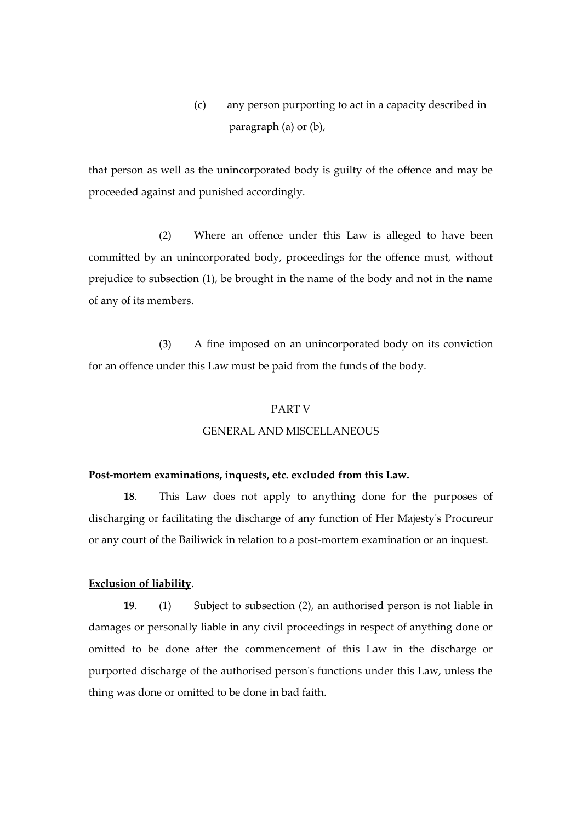(c) any person purporting to act in a capacity described in paragraph (a) or (b),

that person as well as the unincorporated body is guilty of the offence and may be proceeded against and punished accordingly.

(2) Where an offence under this Law is alleged to have been committed by an unincorporated body, proceedings for the offence must, without prejudice to subsection (1), be brought in the name of the body and not in the name of any of its members.

(3) A fine imposed on an unincorporated body on its conviction for an offence under this Law must be paid from the funds of the body.

#### PART V

#### GENERAL AND MISCELLANEOUS

#### **Post-mortem examinations, inquests, etc. excluded from this Law.**

**18**. This Law does not apply to anything done for the purposes of discharging or facilitating the discharge of any function of Her Majesty's Procureur or any court of the Bailiwick in relation to a post-mortem examination or an inquest.

#### **Exclusion of liability**.

**19**. (1) Subject to subsection (2), an authorised person is not liable in damages or personally liable in any civil proceedings in respect of anything done or omitted to be done after the commencement of this Law in the discharge or purported discharge of the authorised person's functions under this Law, unless the thing was done or omitted to be done in bad faith.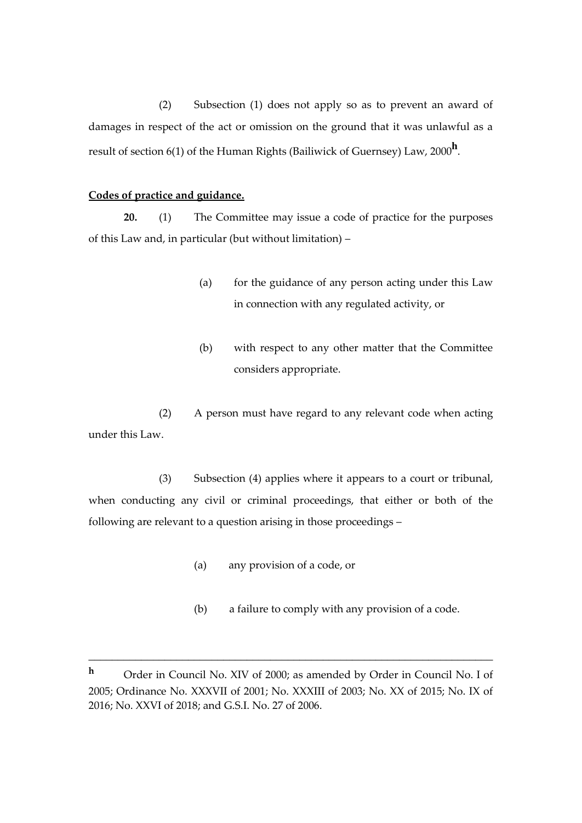(2) Subsection (1) does not apply so as to prevent an award of damages in respect of the act or omission on the ground that it was unlawful as a result of section 6(1) of the Human Rights (Bailiwick of Guernsey) Law, 2000**<sup>h</sup>** .

#### **Codes of practice and guidance.**

**20.** (1) The Committee may issue a code of practice for the purposes of this Law and, in particular (but without limitation) –

- (a) for the guidance of any person acting under this Law in connection with any regulated activity, or
- (b) with respect to any other matter that the Committee considers appropriate.

(2) A person must have regard to any relevant code when acting under this Law.

(3) Subsection (4) applies where it appears to a court or tribunal, when conducting any civil or criminal proceedings, that either or both of the following are relevant to a question arising in those proceedings –

- (a) any provision of a code, or
- (b) a failure to comply with any provision of a code.

**<sup>h</sup>** Order in Council No. XIV of 2000; as amended by Order in Council No. I of 2005; Ordinance No. XXXVII of 2001; No. XXXIII of 2003; No. XX of 2015; No. IX of 2016; No. XXVI of 2018; and G.S.I. No. 27 of 2006.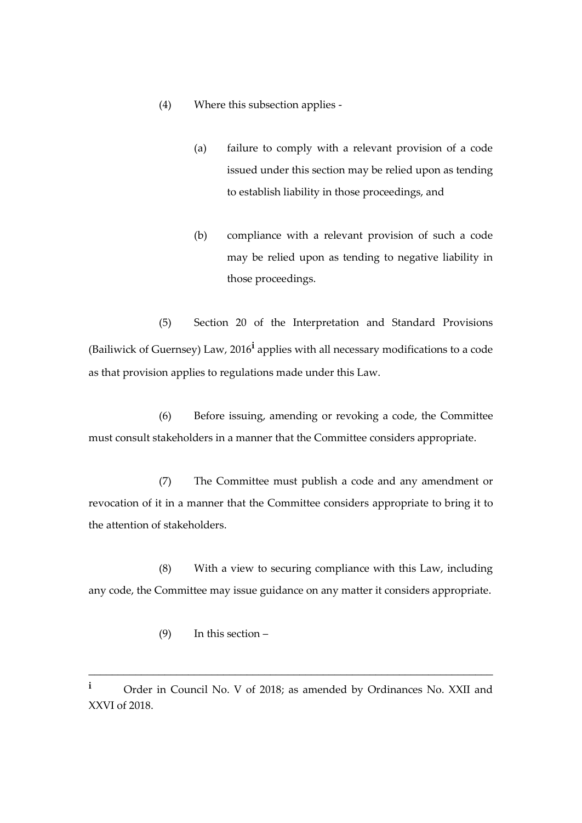- (4) Where this subsection applies
	- (a) failure to comply with a relevant provision of a code issued under this section may be relied upon as tending to establish liability in those proceedings, and
	- (b) compliance with a relevant provision of such a code may be relied upon as tending to negative liability in those proceedings.

(5) Section 20 of the Interpretation and Standard Provisions (Bailiwick of Guernsey) Law, 2016**<sup>i</sup>** applies with all necessary modifications to a code as that provision applies to regulations made under this Law.

(6) Before issuing, amending or revoking a code, the Committee must consult stakeholders in a manner that the Committee considers appropriate.

(7) The Committee must publish a code and any amendment or revocation of it in a manner that the Committee considers appropriate to bring it to the attention of stakeholders.

(8) With a view to securing compliance with this Law, including any code, the Committee may issue guidance on any matter it considers appropriate.

- (9) In this section –
- **<sup>i</sup>** Order in Council No. V of 2018; as amended by Ordinances No. XXII and XXVI of 2018.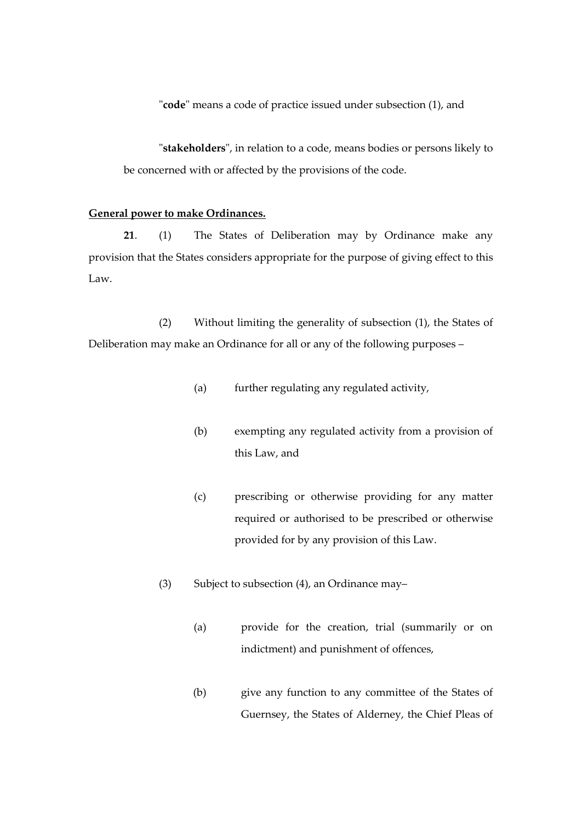"**code**" means a code of practice issued under subsection (1), and

"**stakeholders**", in relation to a code, means bodies or persons likely to be concerned with or affected by the provisions of the code.

#### **General power to make Ordinances.**

**21**. (1) The States of Deliberation may by Ordinance make any provision that the States considers appropriate for the purpose of giving effect to this Law.

(2) Without limiting the generality of subsection (1), the States of Deliberation may make an Ordinance for all or any of the following purposes –

- (a) further regulating any regulated activity,
- (b) exempting any regulated activity from a provision of this Law, and
- (c) prescribing or otherwise providing for any matter required or authorised to be prescribed or otherwise provided for by any provision of this Law.
- (3) Subject to subsection  $(4)$ , an Ordinance may-
	- (a) provide for the creation, trial (summarily or on indictment) and punishment of offences,
	- (b) give any function to any committee of the States of Guernsey, the States of Alderney, the Chief Pleas of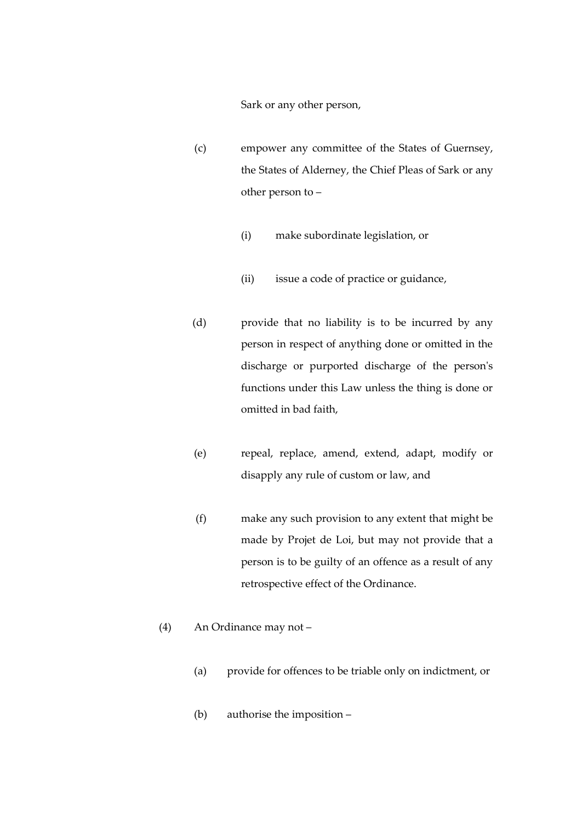Sark or any other person,

- (c) empower any committee of the States of Guernsey, the States of Alderney, the Chief Pleas of Sark or any other person to –
	- (i) make subordinate legislation, or
	- (ii) issue a code of practice or guidance,
- (d) provide that no liability is to be incurred by any person in respect of anything done or omitted in the discharge or purported discharge of the person's functions under this Law unless the thing is done or omitted in bad faith,
- (e) repeal, replace, amend, extend, adapt, modify or disapply any rule of custom or law, and
- (f) make any such provision to any extent that might be made by Projet de Loi, but may not provide that a person is to be guilty of an offence as a result of any retrospective effect of the Ordinance.
- (4) An Ordinance may not
	- (a) provide for offences to be triable only on indictment, or
	- (b) authorise the imposition –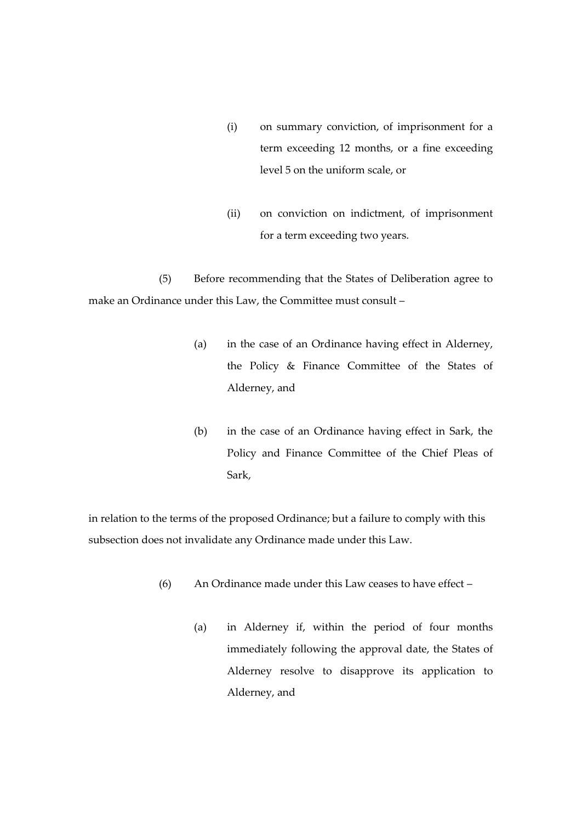- (i) on summary conviction, of imprisonment for a term exceeding 12 months, or a fine exceeding level 5 on the uniform scale, or
- (ii) on conviction on indictment, of imprisonment for a term exceeding two years.

(5) Before recommending that the States of Deliberation agree to make an Ordinance under this Law, the Committee must consult –

- (a) in the case of an Ordinance having effect in Alderney, the Policy & Finance Committee of the States of Alderney, and
- (b) in the case of an Ordinance having effect in Sark, the Policy and Finance Committee of the Chief Pleas of Sark,

in relation to the terms of the proposed Ordinance; but a failure to comply with this subsection does not invalidate any Ordinance made under this Law.

- (6) An Ordinance made under this Law ceases to have effect
	- (a) in Alderney if, within the period of four months immediately following the approval date, the States of Alderney resolve to disapprove its application to Alderney, and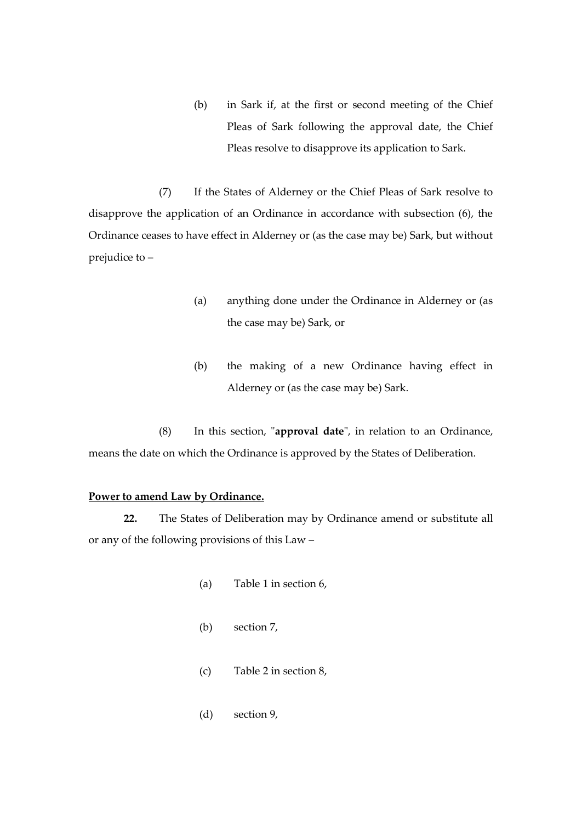(b) in Sark if, at the first or second meeting of the Chief Pleas of Sark following the approval date, the Chief Pleas resolve to disapprove its application to Sark.

(7) If the States of Alderney or the Chief Pleas of Sark resolve to disapprove the application of an Ordinance in accordance with subsection (6), the Ordinance ceases to have effect in Alderney or (as the case may be) Sark, but without prejudice to –

- (a) anything done under the Ordinance in Alderney or (as the case may be) Sark, or
- (b) the making of a new Ordinance having effect in Alderney or (as the case may be) Sark.

(8) In this section, "**approval date**", in relation to an Ordinance, means the date on which the Ordinance is approved by the States of Deliberation.

# **Power to amend Law by Ordinance.**

**22.** The States of Deliberation may by Ordinance amend or substitute all or any of the following provisions of this Law –

- (a) Table 1 in section 6,
- (b) section 7,
- (c) Table 2 in section 8,
- (d) section 9,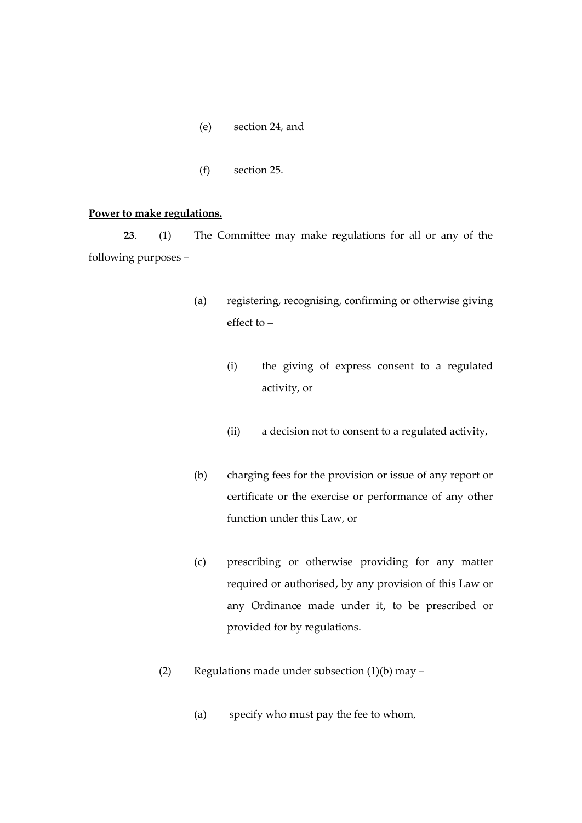- (e) section 24, and
- (f) section 25.

#### **Power to make regulations.**

**23**. (1) The Committee may make regulations for all or any of the following purposes –

- (a) registering, recognising, confirming or otherwise giving effect to –
	- (i) the giving of express consent to a regulated activity, or
	- (ii) a decision not to consent to a regulated activity,
- (b) charging fees for the provision or issue of any report or certificate or the exercise or performance of any other function under this Law, or
- (c) prescribing or otherwise providing for any matter required or authorised, by any provision of this Law or any Ordinance made under it, to be prescribed or provided for by regulations.
- (2) Regulations made under subsection (1)(b) may
	- (a) specify who must pay the fee to whom,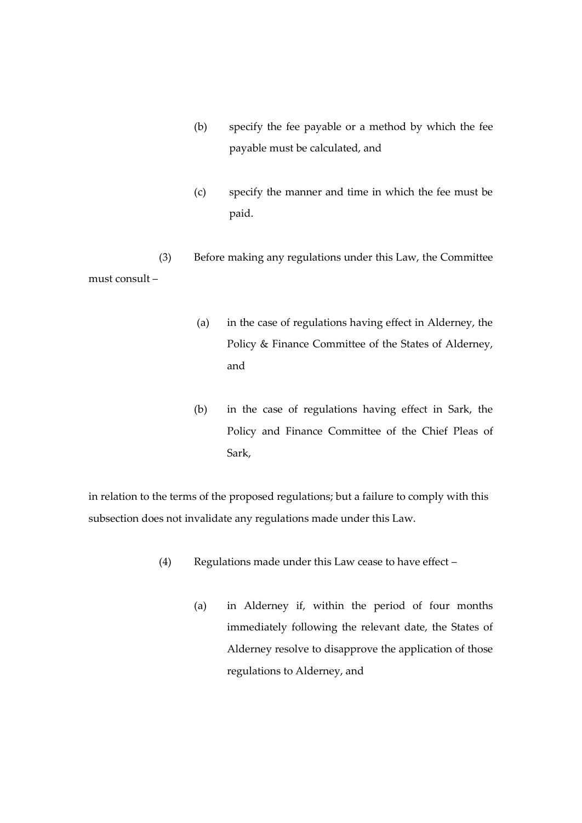- (b) specify the fee payable or a method by which the fee payable must be calculated, and
- (c) specify the manner and time in which the fee must be paid.

(3) Before making any regulations under this Law, the Committee must consult –

- (a) in the case of regulations having effect in Alderney, the Policy & Finance Committee of the States of Alderney, and
- (b) in the case of regulations having effect in Sark, the Policy and Finance Committee of the Chief Pleas of Sark,

in relation to the terms of the proposed regulations; but a failure to comply with this subsection does not invalidate any regulations made under this Law.

- (4) Regulations made under this Law cease to have effect
	- (a) in Alderney if, within the period of four months immediately following the relevant date, the States of Alderney resolve to disapprove the application of those regulations to Alderney, and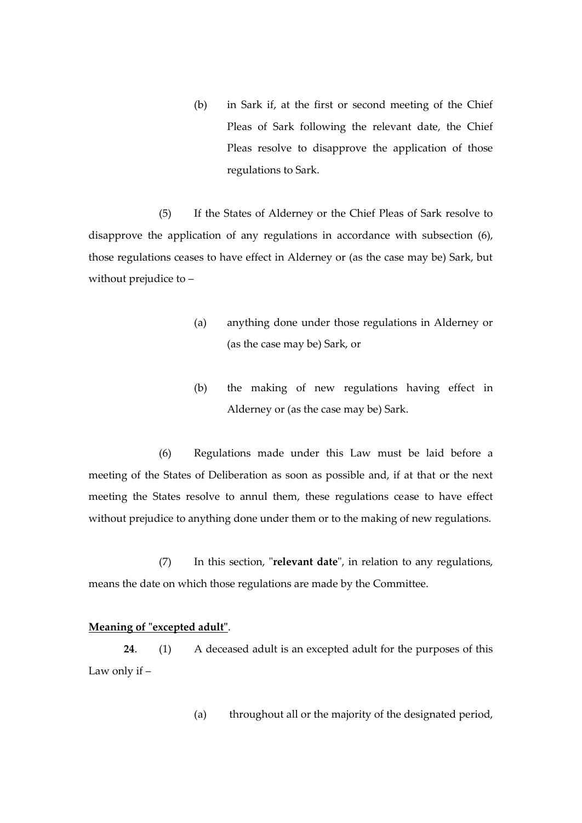(b) in Sark if, at the first or second meeting of the Chief Pleas of Sark following the relevant date, the Chief Pleas resolve to disapprove the application of those regulations to Sark.

(5) If the States of Alderney or the Chief Pleas of Sark resolve to disapprove the application of any regulations in accordance with subsection (6), those regulations ceases to have effect in Alderney or (as the case may be) Sark, but without prejudice to –

- (a) anything done under those regulations in Alderney or (as the case may be) Sark, or
- (b) the making of new regulations having effect in Alderney or (as the case may be) Sark.

(6) Regulations made under this Law must be laid before a meeting of the States of Deliberation as soon as possible and, if at that or the next meeting the States resolve to annul them, these regulations cease to have effect without prejudice to anything done under them or to the making of new regulations.

(7) In this section, "**relevant date**", in relation to any regulations, means the date on which those regulations are made by the Committee.

#### **Meaning of "excepted adult"**.

**24**. (1) A deceased adult is an excepted adult for the purposes of this Law only if –

(a) throughout all or the majority of the designated period,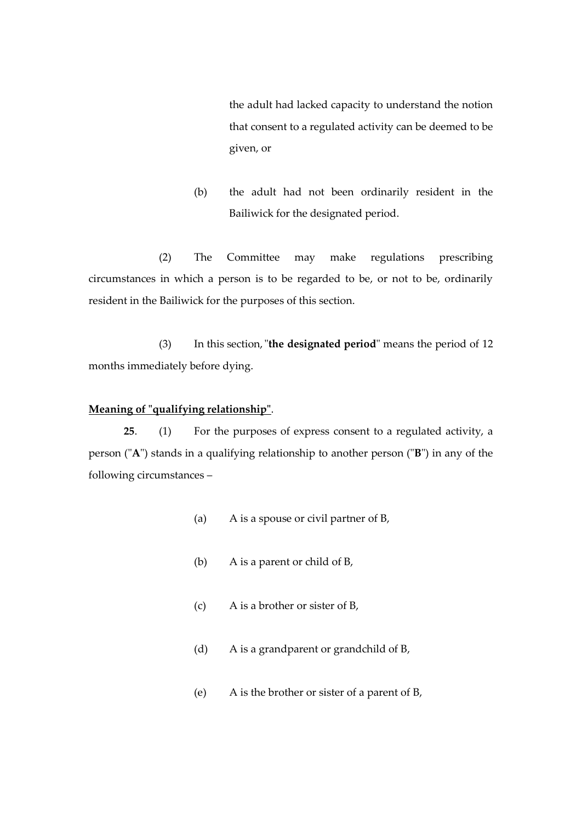the adult had lacked capacity to understand the notion that consent to a regulated activity can be deemed to be given, or

(b) the adult had not been ordinarily resident in the Bailiwick for the designated period.

(2) The Committee may make regulations prescribing circumstances in which a person is to be regarded to be, or not to be, ordinarily resident in the Bailiwick for the purposes of this section.

(3) In this section,"**the designated period**" means the period of 12 months immediately before dying.

# **Meaning of "qualifying relationship"**.

**25**. (1) For the purposes of express consent to a regulated activity, a person ("**A**") stands in a qualifying relationship to another person ("**B**") in any of the following circumstances –

- (a) A is a spouse or civil partner of B,
- (b) A is a parent or child of B,
- (c) A is a brother or sister of B,
- (d) A is a grandparent or grandchild of B,
- (e) A is the brother or sister of a parent of B,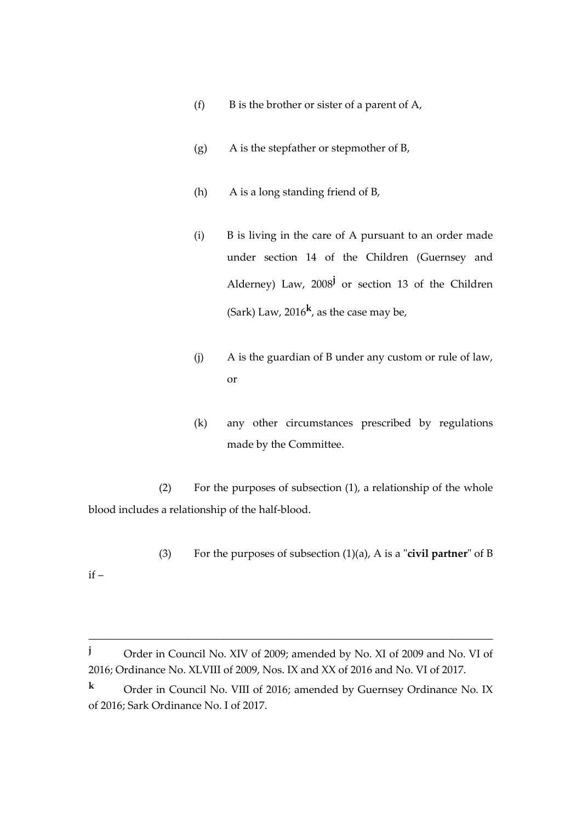- (f) B is the brother or sister of a parent of  $A$ ,
- (g) A is the stepfather or stepmother of B,
- (h) A is a long standing friend of B,
- (i) B is living in the care of A pursuant to an order made under section 14 of the Children (Guernsey and Alderney) Law, 2008**<sup>j</sup>** or section 13 of the Children (Sark) Law, 2016**<sup>k</sup>** , as the case may be,
- (j) A is the guardian of B under any custom or rule of law, or
- (k) any other circumstances prescribed by regulations made by the Committee.

(2) For the purposes of subsection (1), a relationship of the whole blood includes a relationship of the half-blood.

(3) For the purposes of subsection (1)(a), A is a "**civil partner**" of B

if –

**<sup>j</sup>** Order in Council No. XIV of 2009; amended by No. XI of 2009 and No. VI of 2016; Ordinance No. XLVIII of 2009, Nos. IX and XX of 2016 and No. VI of 2017.

**<sup>k</sup>** Order in Council No. VIII of 2016; amended by Guernsey Ordinance No. IX of 2016; Sark Ordinance No. I of 2017.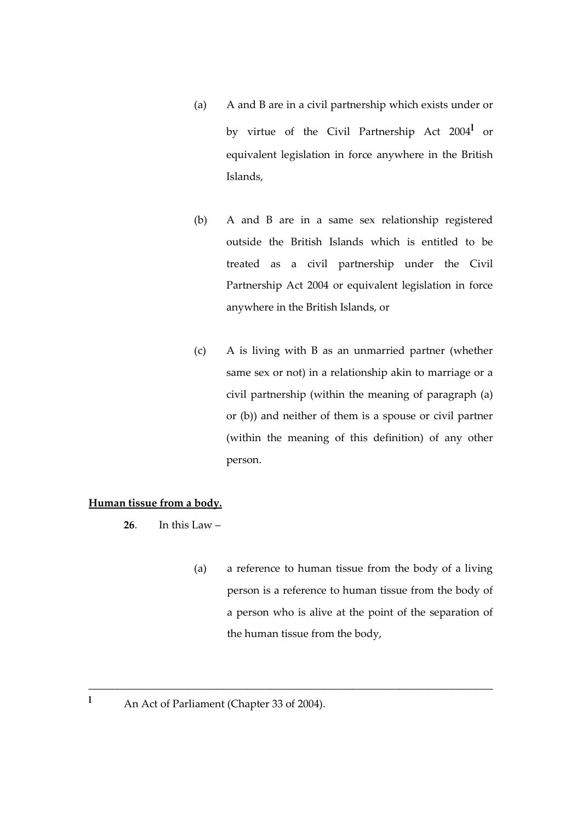- (a) A and B are in a civil partnership which exists under or by virtue of the Civil Partnership Act 2004**<sup>l</sup>** or equivalent legislation in force anywhere in the British Islands,
- (b) A and B are in a same sex relationship registered outside the British Islands which is entitled to be treated as a civil partnership under the Civil Partnership Act 2004 or equivalent legislation in force anywhere in the British Islands, or
- (c) A is living with B as an unmarried partner (whether same sex or not) in a relationship akin to marriage or a civil partnership (within the meaning of paragraph (a) or (b)) and neither of them is a spouse or civil partner (within the meaning of this definition) of any other person.

# **Human tissue from a body.**

**26**. In this Law –

(a) a reference to human tissue from the body of a living person is a reference to human tissue from the body of a person who is alive at the point of the separation of the human tissue from the body,

<sup>&</sup>lt;sup>1</sup> An Act of Parliament (Chapter 33 of 2004).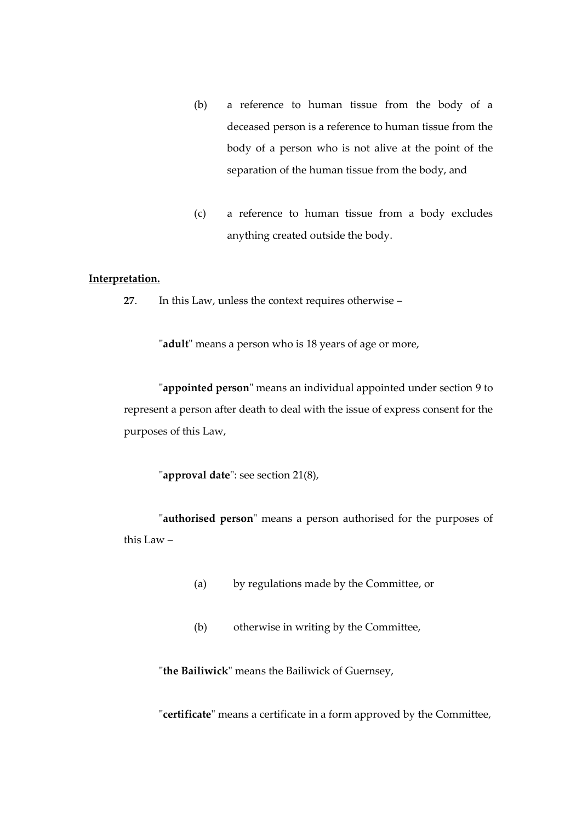- (b) a reference to human tissue from the body of a deceased person is a reference to human tissue from the body of a person who is not alive at the point of the separation of the human tissue from the body, and
- (c) a reference to human tissue from a body excludes anything created outside the body.

#### **Interpretation.**

**27**. In this Law, unless the context requires otherwise –

"**adult**" means a person who is 18 years of age or more,

"**appointed person**" means an individual appointed under section 9 to represent a person after death to deal with the issue of express consent for the purposes of this Law,

"**approval date**": see section 21(8),

"**authorised person**" means a person authorised for the purposes of this Law –

- (a) by regulations made by the Committee, or
- (b) otherwise in writing by the Committee,

"**the Bailiwick**" means the Bailiwick of Guernsey,

"**certificate**" means a certificate in a form approved by the Committee,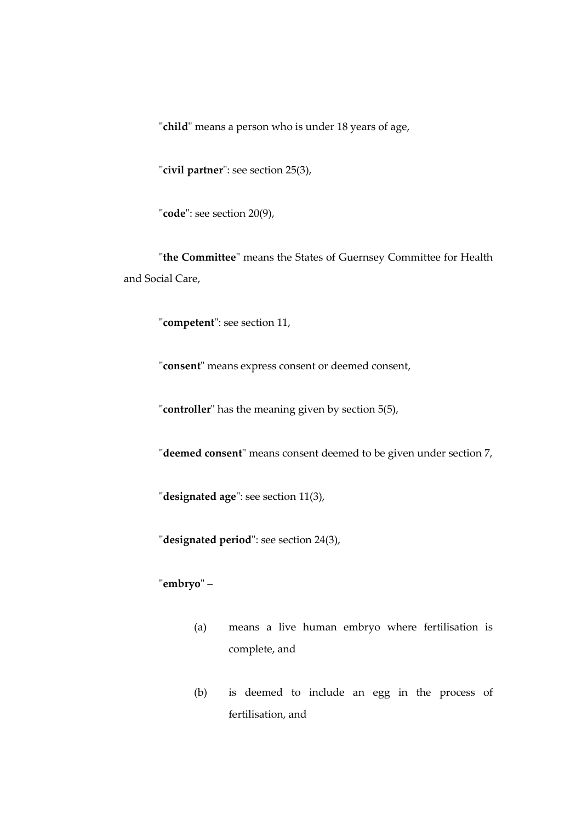"**child**" means a person who is under 18 years of age,

"**civil partner**": see section 25(3),

"**code**": see section 20(9),

"**the Committee**" means the States of Guernsey Committee for Health and Social Care,

"**competent**": see section 11,

"**consent**" means express consent or deemed consent,

"**controller**" has the meaning given by section 5(5),

"**deemed consent**" means consent deemed to be given under section 7,

"**designated age**": see section 11(3),

"**designated period**": see section 24(3),

"**embryo**" –

- (a) means a live human embryo where fertilisation is complete, and
- (b) is deemed to include an egg in the process of fertilisation, and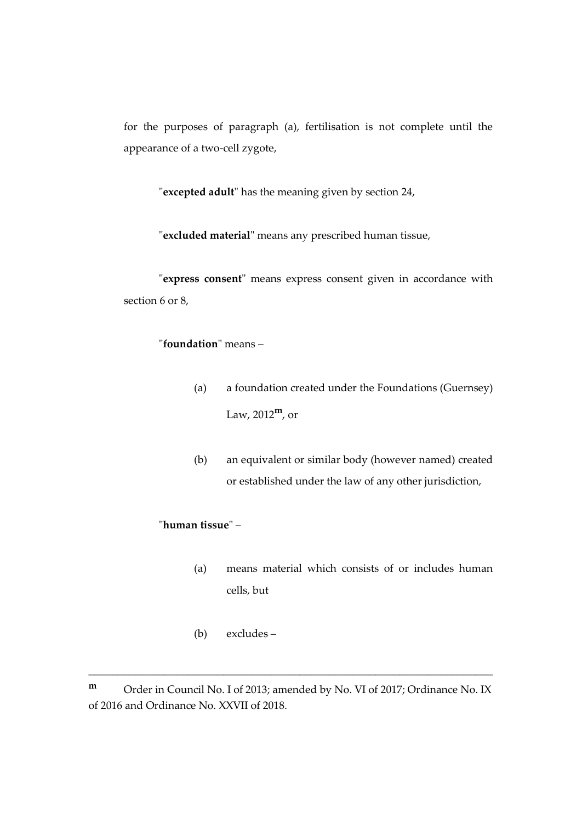for the purposes of paragraph (a), fertilisation is not complete until the appearance of a two-cell zygote,

"**excepted adult**" has the meaning given by section 24,

"**excluded material**" means any prescribed human tissue,

"**express consent**" means express consent given in accordance with section 6 or 8,

# "**foundation**" means –

- (a) a foundation created under the Foundations (Guernsey) Law, 2012**m**, or
- (b) an equivalent or similar body (however named) created or established under the law of any other jurisdiction,

# "**human tissue**" –

- (a) means material which consists of or includes human cells, but
- (b) excludes –

**<sup>m</sup>** Order in Council No. I of 2013; amended by No. VI of 2017; Ordinance No. IX of 2016 and Ordinance No. XXVII of 2018.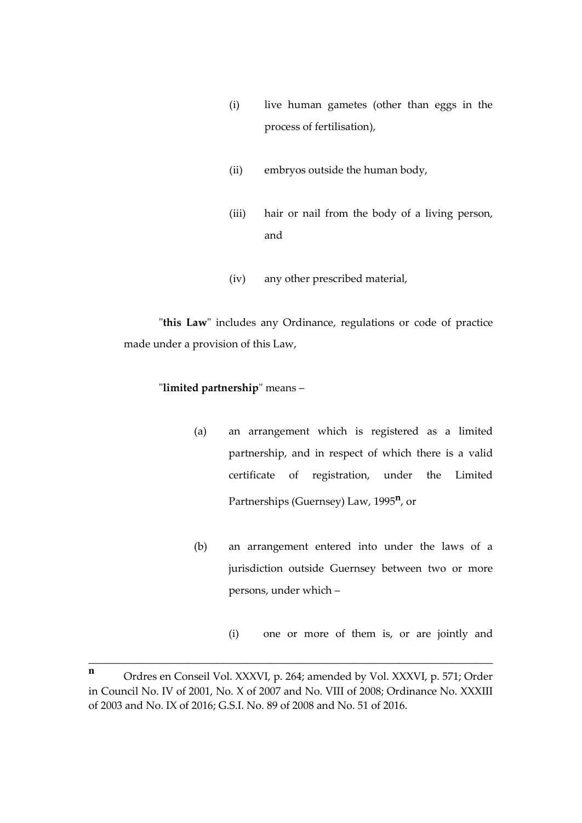- (i) live human gametes (other than eggs in the process of fertilisation),
- (ii) embryos outside the human body,
- (iii) hair or nail from the body of a living person, and
- (iv) any other prescribed material,

"**this Law**" includes any Ordinance, regulations or code of practice made under a provision of this Law,

# "**limited partnership**" means –

- (a) an arrangement which is registered as a limited partnership, and in respect of which there is a valid certificate of registration, under the Limited Partnerships (Guernsey) Law, 1995**<sup>n</sup>** , or
- (b) an arrangement entered into under the laws of a jurisdiction outside Guernsey between two or more persons, under which –
	- (i) one or more of them is, or are jointly and

**<sup>n</sup>** Ordres en Conseil Vol. XXXVI, p. 264; amended by Vol. XXXVI, p. 571; Order in Council No. IV of 2001, No. X of 2007 and No. VIII of 2008; Ordinance No. XXXIII of 2003 and No. IX of 2016; G.S.I. No. 89 of 2008 and No. 51 of 2016.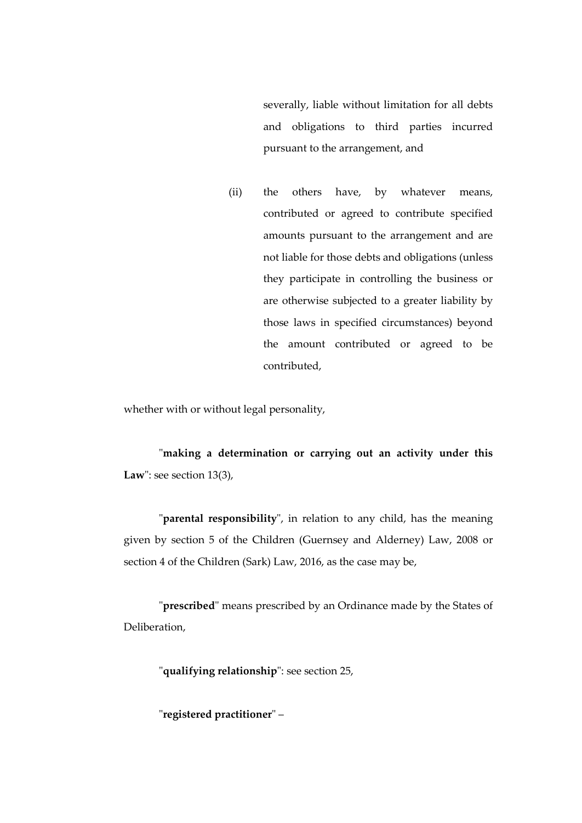severally, liable without limitation for all debts and obligations to third parties incurred pursuant to the arrangement, and

(ii) the others have, by whatever means, contributed or agreed to contribute specified amounts pursuant to the arrangement and are not liable for those debts and obligations (unless they participate in controlling the business or are otherwise subjected to a greater liability by those laws in specified circumstances) beyond the amount contributed or agreed to be contributed,

whether with or without legal personality,

"**making a determination or carrying out an activity under this Law**": see section 13(3),

"**parental responsibility**", in relation to any child, has the meaning given by section 5 of the Children (Guernsey and Alderney) Law, 2008 or section 4 of the Children (Sark) Law, 2016, as the case may be,

"**prescribed**" means prescribed by an Ordinance made by the States of Deliberation,

"**qualifying relationship**": see section 25,

"**registered practitioner**" –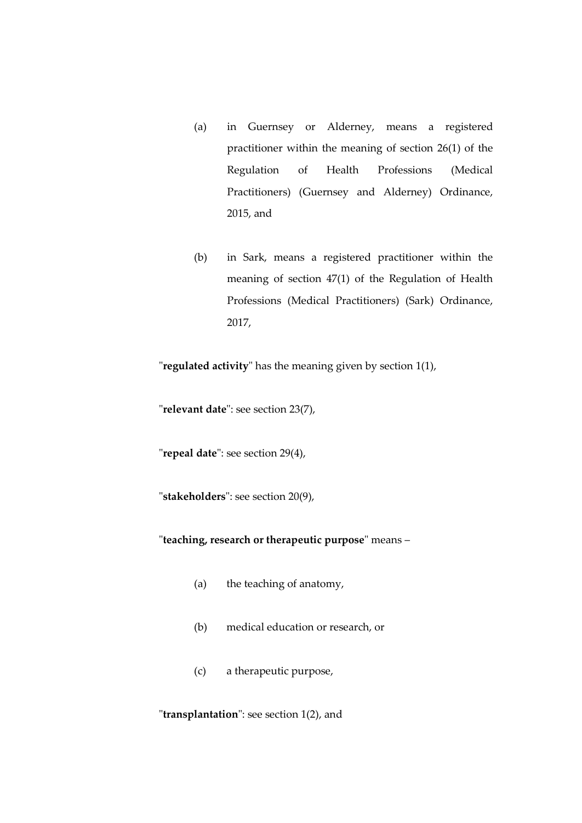- (a) in Guernsey or Alderney, means a registered practitioner within the meaning of section 26(1) of the Regulation of Health Professions (Medical Practitioners) (Guernsey and Alderney) Ordinance, 2015, and
- (b) in Sark, means a registered practitioner within the meaning of section 47(1) of the Regulation of Health Professions (Medical Practitioners) (Sark) Ordinance, 2017,

"**regulated activity**" has the meaning given by section 1(1),

"**relevant date**": see section 23(7),

"**repeal date**": see section 29(4),

"**stakeholders**": see section 20(9),

"**teaching, research or therapeutic purpose**" means –

- (a) the teaching of anatomy,
- (b) medical education or research, or
- (c) a therapeutic purpose,

"**transplantation**": see section 1(2), and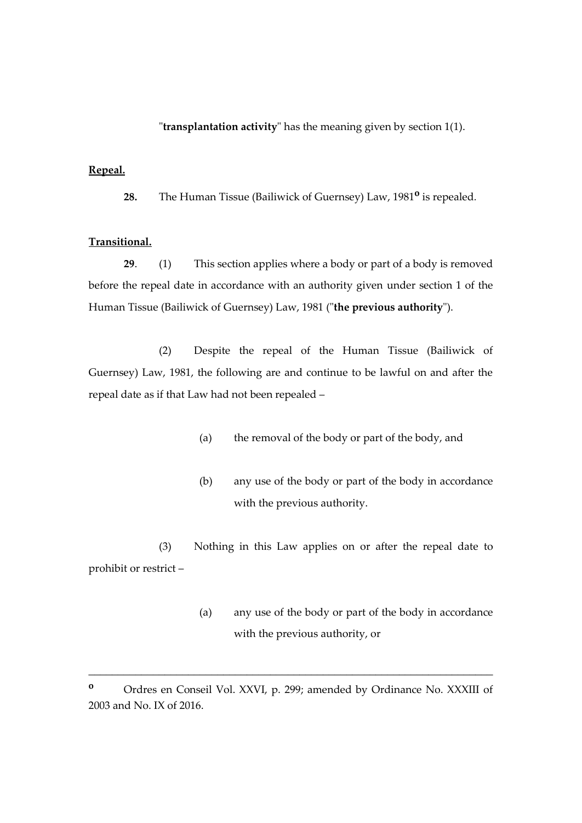"**transplantation activity**" has the meaning given by section 1(1).

#### **Repeal.**

**28.** The Human Tissue (Bailiwick of Guernsey) Law, 1981**<sup>o</sup>** is repealed*.*

#### **Transitional.**

**29**. (1) This section applies where a body or part of a body is removed before the repeal date in accordance with an authority given under section 1 of the Human Tissue (Bailiwick of Guernsey) Law, 1981 ("**the previous authority**").

(2) Despite the repeal of the Human Tissue (Bailiwick of Guernsey) Law, 1981, the following are and continue to be lawful on and after the repeal date as if that Law had not been repealed –

- (a) the removal of the body or part of the body, and
- (b) any use of the body or part of the body in accordance with the previous authority.

(3) Nothing in this Law applies on or after the repeal date to prohibit or restrict –

> (a) any use of the body or part of the body in accordance with the previous authority, or

**<sup>o</sup>** Ordres en Conseil Vol. XXVI, p. 299; amended by Ordinance No. XXXIII of 2003 and No. IX of 2016.